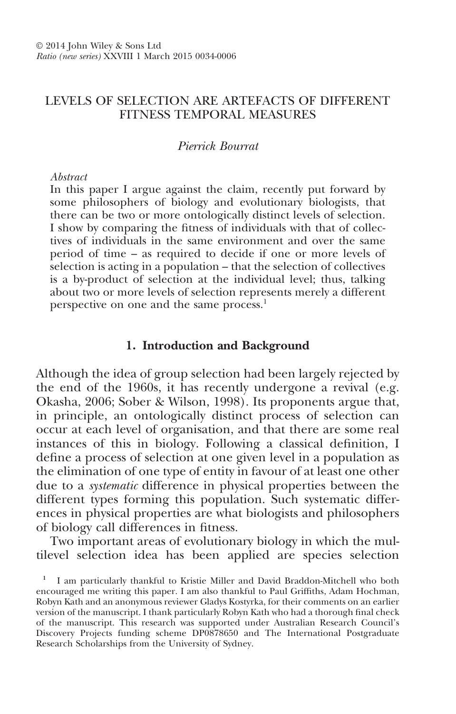# LEVELS OF SELECTION ARE ARTEFACTS OF DIFFERENT FITNESS TEMPORAL MEASURES

#### *Pierrick Bourrat*

#### *Abstract*

In this paper I argue against the claim, recently put forward by some philosophers of biology and evolutionary biologists, that there can be two or more ontologically distinct levels of selection. I show by comparing the fitness of individuals with that of collectives of individuals in the same environment and over the same period of time – as required to decide if one or more levels of selection is acting in a population – that the selection of collectives is a by-product of selection at the individual level; thus, talking about two or more levels of selection represents merely a different perspective on one and the same process.<sup>1</sup>

### **1. Introduction and Background**

Although the idea of group selection had been largely rejected by the end of the 1960s, it has recently undergone a revival (e.g. Okasha, 2006; Sober & Wilson, 1998). Its proponents argue that, in principle, an ontologically distinct process of selection can occur at each level of organisation, and that there are some real instances of this in biology. Following a classical definition, I define a process of selection at one given level in a population as the elimination of one type of entity in favour of at least one other due to a *systematic* difference in physical properties between the different types forming this population. Such systematic differences in physical properties are what biologists and philosophers of biology call differences in fitness.

Two important areas of evolutionary biology in which the multilevel selection idea has been applied are species selection

**<sup>1</sup>** I am particularly thankful to Kristie Miller and David Braddon-Mitchell who both encouraged me writing this paper. I am also thankful to Paul Griffiths, Adam Hochman, Robyn Kath and an anonymous reviewer Gladys Kostyrka, for their comments on an earlier version of the manuscript. I thank particularly Robyn Kath who had a thorough final check of the manuscript. This research was supported under Australian Research Council's Discovery Projects funding scheme DP0878650 and The International Postgraduate Research Scholarships from the University of Sydney.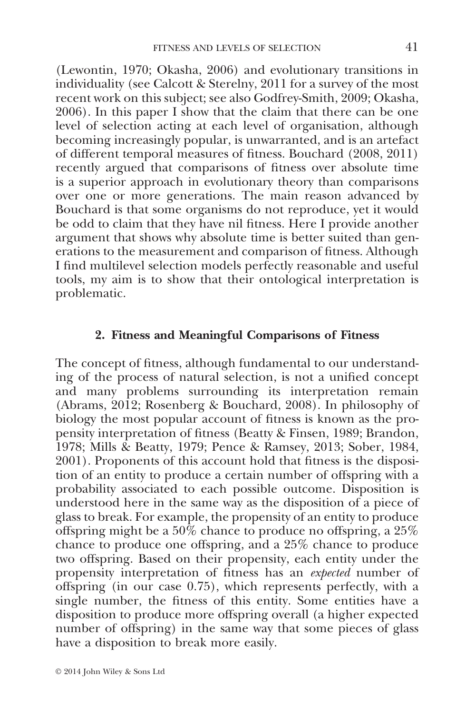(Lewontin, 1970; Okasha, 2006) and evolutionary transitions in individuality (see Calcott & Sterelny, 2011 for a survey of the most recent work on this subject; see also Godfrey-Smith, 2009; Okasha, 2006). In this paper I show that the claim that there can be one level of selection acting at each level of organisation, although becoming increasingly popular, is unwarranted, and is an artefact of different temporal measures of fitness. Bouchard (2008, 2011) recently argued that comparisons of fitness over absolute time is a superior approach in evolutionary theory than comparisons over one or more generations. The main reason advanced by Bouchard is that some organisms do not reproduce, yet it would be odd to claim that they have nil fitness. Here I provide another argument that shows why absolute time is better suited than generations to the measurement and comparison of fitness. Although I find multilevel selection models perfectly reasonable and useful tools, my aim is to show that their ontological interpretation is problematic.

## **2. Fitness and Meaningful Comparisons of Fitness**

The concept of fitness, although fundamental to our understanding of the process of natural selection, is not a unified concept and many problems surrounding its interpretation remain (Abrams, 2012; Rosenberg & Bouchard, 2008). In philosophy of biology the most popular account of fitness is known as the propensity interpretation of fitness (Beatty & Finsen, 1989; Brandon, 1978; Mills & Beatty, 1979; Pence & Ramsey, 2013; Sober, 1984, 2001). Proponents of this account hold that fitness is the disposition of an entity to produce a certain number of offspring with a probability associated to each possible outcome. Disposition is understood here in the same way as the disposition of a piece of glass to break. For example, the propensity of an entity to produce offspring might be a  $50\%$  chance to produce no offspring, a  $25\%$ chance to produce one offspring, and a 25% chance to produce two offspring. Based on their propensity, each entity under the propensity interpretation of fitness has an *expected* number of offspring (in our case  $0.75$ ), which represents perfectly, with a single number, the fitness of this entity. Some entities have a disposition to produce more offspring overall (a higher expected number of offspring) in the same way that some pieces of glass have a disposition to break more easily.

© 2014 John Wiley & Sons Ltd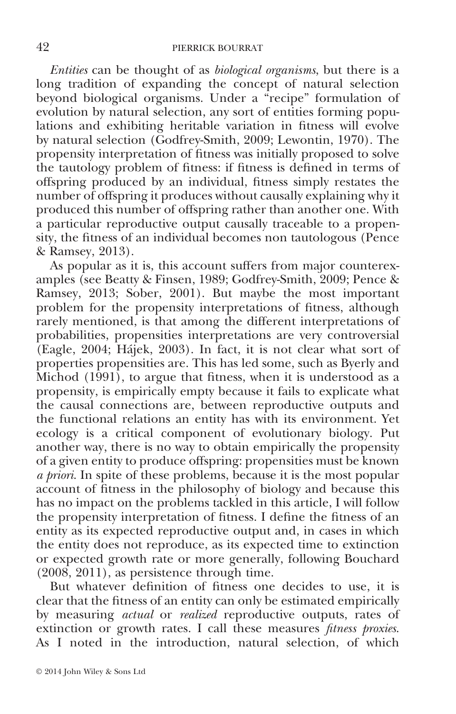*Entities* can be thought of as *biological organisms*, but there is a long tradition of expanding the concept of natural selection beyond biological organisms. Under a "recipe" formulation of evolution by natural selection, any sort of entities forming populations and exhibiting heritable variation in fitness will evolve by natural selection (Godfrey-Smith, 2009; Lewontin, 1970). The propensity interpretation of fitness was initially proposed to solve the tautology problem of fitness: if fitness is defined in terms of offspring produced by an individual, fitness simply restates the number of offspring it produces without causally explaining why it produced this number of offspring rather than another one. With a particular reproductive output causally traceable to a propensity, the fitness of an individual becomes non tautologous (Pence & Ramsey, 2013).

As popular as it is, this account suffers from major counterexamples (see Beatty & Finsen, 1989; Godfrey-Smith, 2009; Pence & Ramsey, 2013; Sober, 2001). But maybe the most important problem for the propensity interpretations of fitness, although rarely mentioned, is that among the different interpretations of probabilities, propensities interpretations are very controversial (Eagle, 2004; Hájek, 2003). In fact, it is not clear what sort of properties propensities are. This has led some, such as Byerly and Michod  $(1991)$ , to argue that fitness, when it is understood as a propensity, is empirically empty because it fails to explicate what the causal connections are, between reproductive outputs and the functional relations an entity has with its environment. Yet ecology is a critical component of evolutionary biology. Put another way, there is no way to obtain empirically the propensity of a given entity to produce offspring: propensities must be known *a priori*. In spite of these problems, because it is the most popular account of fitness in the philosophy of biology and because this has no impact on the problems tackled in this article, I will follow the propensity interpretation of fitness. I define the fitness of an entity as its expected reproductive output and, in cases in which the entity does not reproduce, as its expected time to extinction or expected growth rate or more generally, following Bouchard (2008, 2011), as persistence through time.

But whatever definition of fitness one decides to use, it is clear that the fitness of an entity can only be estimated empirically by measuring *actual* or *realized* reproductive outputs, rates of extinction or growth rates. I call these measures *fitness proxies*. As I noted in the introduction, natural selection, of which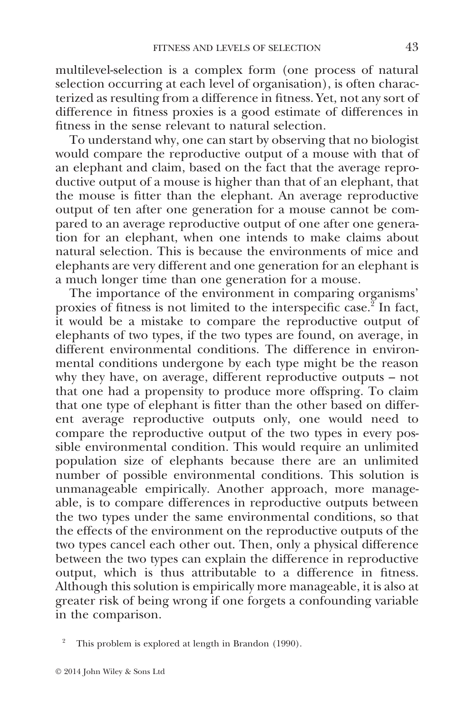multilevel-selection is a complex form (one process of natural selection occurring at each level of organisation), is often characterized as resulting from a difference in fitness. Yet, not any sort of difference in fitness proxies is a good estimate of differences in fitness in the sense relevant to natural selection.

To understand why, one can start by observing that no biologist would compare the reproductive output of a mouse with that of an elephant and claim, based on the fact that the average reproductive output of a mouse is higher than that of an elephant, that the mouse is fitter than the elephant. An average reproductive output of ten after one generation for a mouse cannot be compared to an average reproductive output of one after one generation for an elephant, when one intends to make claims about natural selection. This is because the environments of mice and elephants are very different and one generation for an elephant is a much longer time than one generation for a mouse.

The importance of the environment in comparing organisms' proxies of fitness is not limited to the interspecific case. $\frac{9}{2}$  In fact, it would be a mistake to compare the reproductive output of elephants of two types, if the two types are found, on average, in different environmental conditions. The difference in environmental conditions undergone by each type might be the reason why they have, on average, different reproductive outputs – not that one had a propensity to produce more offspring. To claim that one type of elephant is fitter than the other based on different average reproductive outputs only, one would need to compare the reproductive output of the two types in every possible environmental condition. This would require an unlimited population size of elephants because there are an unlimited number of possible environmental conditions. This solution is unmanageable empirically. Another approach, more manageable, is to compare differences in reproductive outputs between the two types under the same environmental conditions, so that the effects of the environment on the reproductive outputs of the two types cancel each other out. Then, only a physical difference between the two types can explain the difference in reproductive output, which is thus attributable to a difference in fitness. Although this solution is empirically more manageable, it is also at greater risk of being wrong if one forgets a confounding variable in the comparison.

This problem is explored at length in Brandon (1990).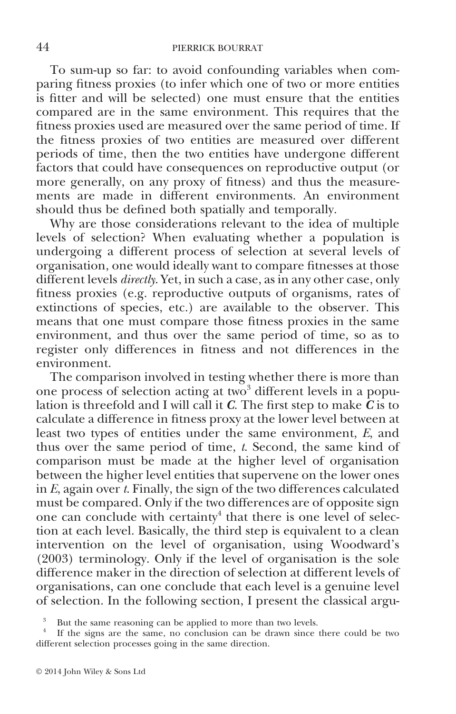To sum-up so far: to avoid confounding variables when comparing fitness proxies (to infer which one of two or more entities is fitter and will be selected) one must ensure that the entities compared are in the same environment. This requires that the fitness proxies used are measured over the same period of time. If the fitness proxies of two entities are measured over different periods of time, then the two entities have undergone different factors that could have consequences on reproductive output (or more generally, on any proxy of fitness) and thus the measurements are made in different environments. An environment should thus be defined both spatially and temporally.

Why are those considerations relevant to the idea of multiple levels of selection? When evaluating whether a population is undergoing a different process of selection at several levels of organisation, one would ideally want to compare fitnesses at those different levels *directly*. Yet, in such a case, as in any other case, only fitness proxies (e.g. reproductive outputs of organisms, rates of extinctions of species, etc.) are available to the observer. This means that one must compare those fitness proxies in the same environment, and thus over the same period of time, so as to register only differences in fitness and not differences in the environment.

The comparison involved in testing whether there is more than one process of selection acting at two<sup>3</sup> different levels in a population is threefold and I will call it *C*. The first step to make *C* is to calculate a difference in fitness proxy at the lower level between at least two types of entities under the same environment, *E*, and thus over the same period of time, *t*. Second, the same kind of comparison must be made at the higher level of organisation between the higher level entities that supervene on the lower ones in *E*, again over *t*. Finally, the sign of the two differences calculated must be compared. Only if the two differences are of opposite sign one can conclude with certainty<sup>4</sup> that there is one level of selection at each level. Basically, the third step is equivalent to a clean intervention on the level of organisation, using Woodward's (2003) terminology. Only if the level of organisation is the sole difference maker in the direction of selection at different levels of organisations, can one conclude that each level is a genuine level of selection. In the following section, I present the classical argu-

But the same reasoning can be applied to more than two levels.

<sup>4</sup> If the signs are the same, no conclusion can be drawn since there could be two different selection processes going in the same direction.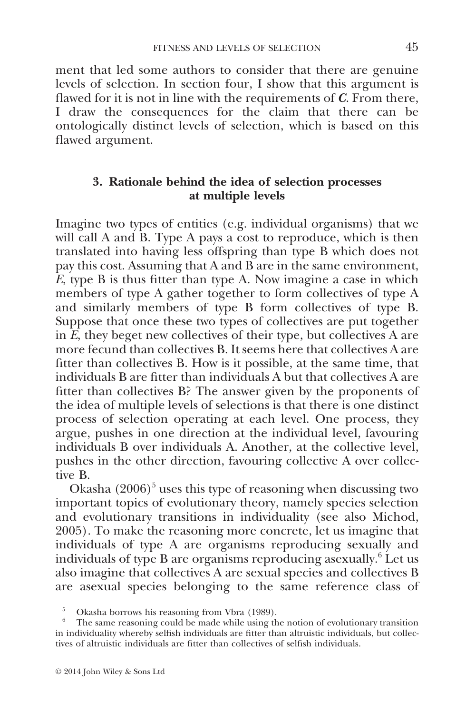ment that led some authors to consider that there are genuine levels of selection. In section four, I show that this argument is flawed for it is not in line with the requirements of *C*. From there, I draw the consequences for the claim that there can be ontologically distinct levels of selection, which is based on this flawed argument.

## **3. Rationale behind the idea of selection processes at multiple levels**

Imagine two types of entities (e.g. individual organisms) that we will call A and B. Type A pays a cost to reproduce, which is then translated into having less offspring than type B which does not pay this cost. Assuming that A and B are in the same environment,  $E$ , type B is thus fitter than type A. Now imagine a case in which members of type A gather together to form collectives of type A and similarly members of type B form collectives of type B. Suppose that once these two types of collectives are put together in  $\overrightarrow{E}$ , they beget new collectives of their type, but collectives A are more fecund than collectives B. It seems here that collectives A are fitter than collectives B. How is it possible, at the same time, that individuals B are fitter than individuals A but that collectives A are fitter than collectives B? The answer given by the proponents of the idea of multiple levels of selections is that there is one distinct process of selection operating at each level. One process, they argue, pushes in one direction at the individual level, favouring individuals B over individuals A. Another, at the collective level, pushes in the other direction, favouring collective A over collective B.

Okasha  $(2006)^5$  uses this type of reasoning when discussing two important topics of evolutionary theory, namely species selection and evolutionary transitions in individuality (see also Michod, 2005). To make the reasoning more concrete, let us imagine that individuals of type A are organisms reproducing sexually and individuals of type B are organisms reproducing asexually.6 Let us also imagine that collectives A are sexual species and collectives B are asexual species belonging to the same reference class of

<sup>&</sup>lt;sup>5</sup> Okasha borrows his reasoning from Vbra (1989).<br><sup>6</sup> The same reasoning could be made while using the

The same reasoning could be made while using the notion of evolutionary transition in individuality whereby selfish individuals are fitter than altruistic individuals, but collectives of altruistic individuals are fitter than collectives of selfish individuals.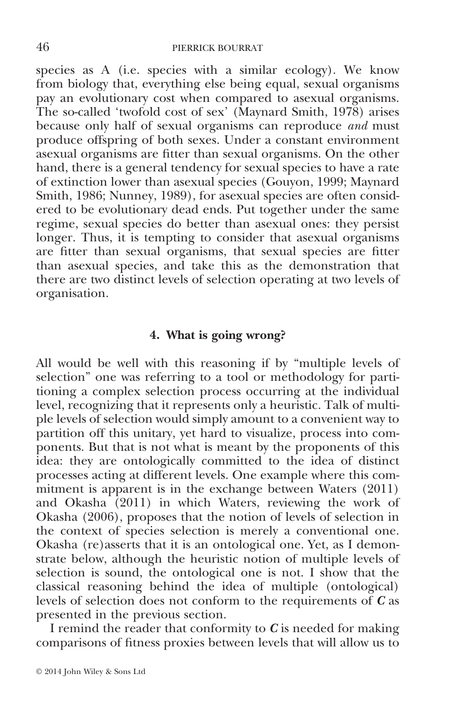species as A (i.e. species with a similar ecology). We know from biology that, everything else being equal, sexual organisms pay an evolutionary cost when compared to asexual organisms. The so-called 'twofold cost of sex' (Maynard Smith, 1978) arises because only half of sexual organisms can reproduce *and* must produce offspring of both sexes. Under a constant environment asexual organisms are fitter than sexual organisms. On the other hand, there is a general tendency for sexual species to have a rate of extinction lower than asexual species (Gouyon, 1999; Maynard Smith, 1986; Nunney, 1989), for asexual species are often considered to be evolutionary dead ends. Put together under the same regime, sexual species do better than asexual ones: they persist longer. Thus, it is tempting to consider that asexual organisms are fitter than sexual organisms, that sexual species are fitter than asexual species, and take this as the demonstration that there are two distinct levels of selection operating at two levels of organisation.

## **4. What is going wrong?**

All would be well with this reasoning if by "multiple levels of selection" one was referring to a tool or methodology for partitioning a complex selection process occurring at the individual level, recognizing that it represents only a heuristic. Talk of multiple levels of selection would simply amount to a convenient way to partition off this unitary, yet hard to visualize, process into components. But that is not what is meant by the proponents of this idea: they are ontologically committed to the idea of distinct processes acting at different levels. One example where this commitment is apparent is in the exchange between Waters (2011) and Okasha (2011) in which Waters, reviewing the work of Okasha (2006), proposes that the notion of levels of selection in the context of species selection is merely a conventional one. Okasha (re)asserts that it is an ontological one. Yet, as I demonstrate below, although the heuristic notion of multiple levels of selection is sound, the ontological one is not. I show that the classical reasoning behind the idea of multiple (ontological) levels of selection does not conform to the requirements of *C* as presented in the previous section.

I remind the reader that conformity to  $C$  is needed for making comparisons of fitness proxies between levels that will allow us to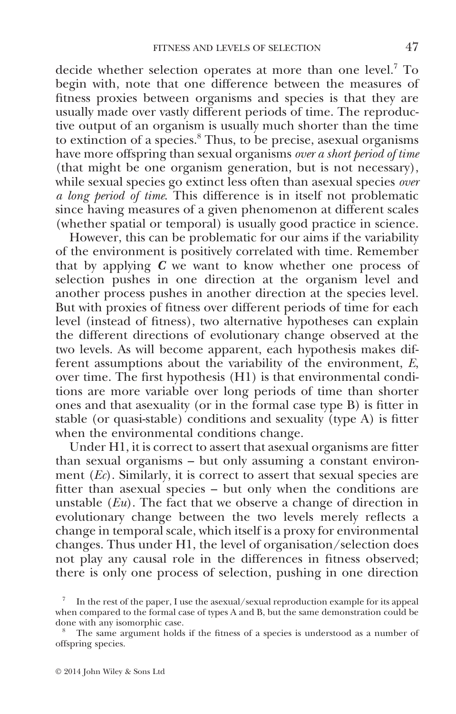decide whether selection operates at more than one level.<sup>7</sup> To begin with, note that one difference between the measures of fitness proxies between organisms and species is that they are usually made over vastly different periods of time. The reproductive output of an organism is usually much shorter than the time to extinction of a species.<sup>8</sup> Thus, to be precise, asexual organisms have more offspring than sexual organisms *over a short period of time* (that might be one organism generation, but is not necessary), while sexual species go extinct less often than asexual species *over a long period of time*. This difference is in itself not problematic since having measures of a given phenomenon at different scales (whether spatial or temporal) is usually good practice in science.

However, this can be problematic for our aims if the variability of the environment is positively correlated with time. Remember that by applying *C* we want to know whether one process of selection pushes in one direction at the organism level and another process pushes in another direction at the species level. But with proxies of fitness over different periods of time for each level (instead of fitness), two alternative hypotheses can explain the different directions of evolutionary change observed at the two levels. As will become apparent, each hypothesis makes different assumptions about the variability of the environment, *E*, over time. The first hypothesis (H1) is that environmental conditions are more variable over long periods of time than shorter ones and that asexuality (or in the formal case type B) is fitter in stable (or quasi-stable) conditions and sexuality (type A) is fitter when the environmental conditions change.

Under H1, it is correct to assert that asexual organisms are fitter than sexual organisms – but only assuming a constant environment (*Ec*). Similarly, it is correct to assert that sexual species are fitter than asexual species – but only when the conditions are unstable (*Eu*). The fact that we observe a change of direction in evolutionary change between the two levels merely reflects a change in temporal scale, which itself is a proxy for environmental changes. Thus under H1, the level of organisation/selection does not play any causal role in the differences in fitness observed; there is only one process of selection, pushing in one direction

<sup>7</sup> In the rest of the paper, I use the asexual/sexual reproduction example for its appeal when compared to the formal case of types A and B, but the same demonstration could be done with any isomorphic case.

<sup>&</sup>lt;sup>8</sup> The same argument holds if the fitness of a species is understood as a number of offspring species.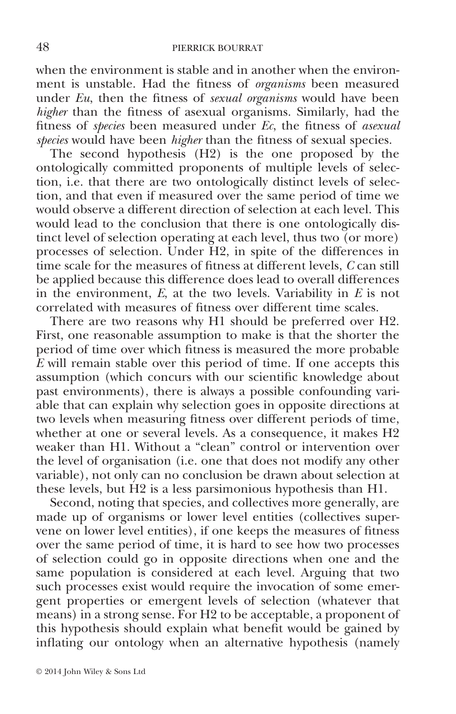when the environment is stable and in another when the environment is unstable. Had the fitness of *organisms* been measured under *Eu*, then the fitness of *sexual organisms* would have been *higher* than the fitness of asexual organisms. Similarly, had the fitness of *species* been measured under *Ec*, the fitness of *asexual species* would have been *higher* than the fitness of sexual species.

The second hypothesis (H2) is the one proposed by the ontologically committed proponents of multiple levels of selection, i.e. that there are two ontologically distinct levels of selection, and that even if measured over the same period of time we would observe a different direction of selection at each level. This would lead to the conclusion that there is one ontologically distinct level of selection operating at each level, thus two (or more) processes of selection. Under H2, in spite of the differences in time scale for the measures of fitness at different levels, *C* can still be applied because this difference does lead to overall differences in the environment, *E*, at the two levels. Variability in *E* is not correlated with measures of fitness over different time scales.

There are two reasons why H1 should be preferred over H2. First, one reasonable assumption to make is that the shorter the period of time over which fitness is measured the more probable *E* will remain stable over this period of time. If one accepts this assumption (which concurs with our scientific knowledge about past environments), there is always a possible confounding variable that can explain why selection goes in opposite directions at two levels when measuring fitness over different periods of time, whether at one or several levels. As a consequence, it makes H2 weaker than H1. Without a "clean" control or intervention over the level of organisation (i.e. one that does not modify any other variable), not only can no conclusion be drawn about selection at these levels, but H2 is a less parsimonious hypothesis than H1.

Second, noting that species, and collectives more generally, are made up of organisms or lower level entities (collectives supervene on lower level entities), if one keeps the measures of fitness over the same period of time, it is hard to see how two processes of selection could go in opposite directions when one and the same population is considered at each level. Arguing that two such processes exist would require the invocation of some emergent properties or emergent levels of selection (whatever that means) in a strong sense. For H2 to be acceptable, a proponent of this hypothesis should explain what benefit would be gained by inflating our ontology when an alternative hypothesis (namely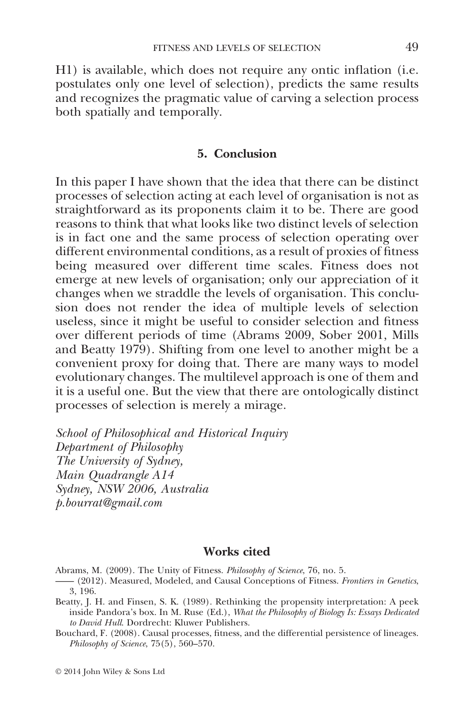H1) is available, which does not require any ontic inflation (i.e. postulates only one level of selection), predicts the same results and recognizes the pragmatic value of carving a selection process both spatially and temporally.

#### **5. Conclusion**

In this paper I have shown that the idea that there can be distinct processes of selection acting at each level of organisation is not as straightforward as its proponents claim it to be. There are good reasons to think that what looks like two distinct levels of selection is in fact one and the same process of selection operating over different environmental conditions, as a result of proxies of fitness being measured over different time scales. Fitness does not emerge at new levels of organisation; only our appreciation of it changes when we straddle the levels of organisation. This conclusion does not render the idea of multiple levels of selection useless, since it might be useful to consider selection and fitness over different periods of time (Abrams 2009, Sober 2001, Mills and Beatty 1979). Shifting from one level to another might be a convenient proxy for doing that. There are many ways to model evolutionary changes. The multilevel approach is one of them and it is a useful one. But the view that there are ontologically distinct processes of selection is merely a mirage.

*School of Philosophical and Historical Inquiry Department of Philosophy The University of Sydney, Main Quadrangle A14 Sydney, NSW 2006, Australia [p.bourrat@gmail.com](mailto:p.bourrat@gmail.com)*

#### **Works cited**

Abrams, M. (2009). The Unity of Fitness. *Philosophy of Science*, 76, no. 5.

- —— (2012). Measured, Modeled, and Causal Conceptions of Fitness. *Frontiers in Genetics*, 3, 196.
- Beatty, J. H. and Finsen, S. K. (1989). Rethinking the propensity interpretation: A peek inside Pandora's box. In M. Ruse (Ed.), *What the Philosophy of Biology Is: Essays Dedicated to David Hull*. Dordrecht: Kluwer Publishers.

Bouchard, F. (2008). Causal processes, fitness, and the differential persistence of lineages. *Philosophy of Science*, 75(5), 560–570.